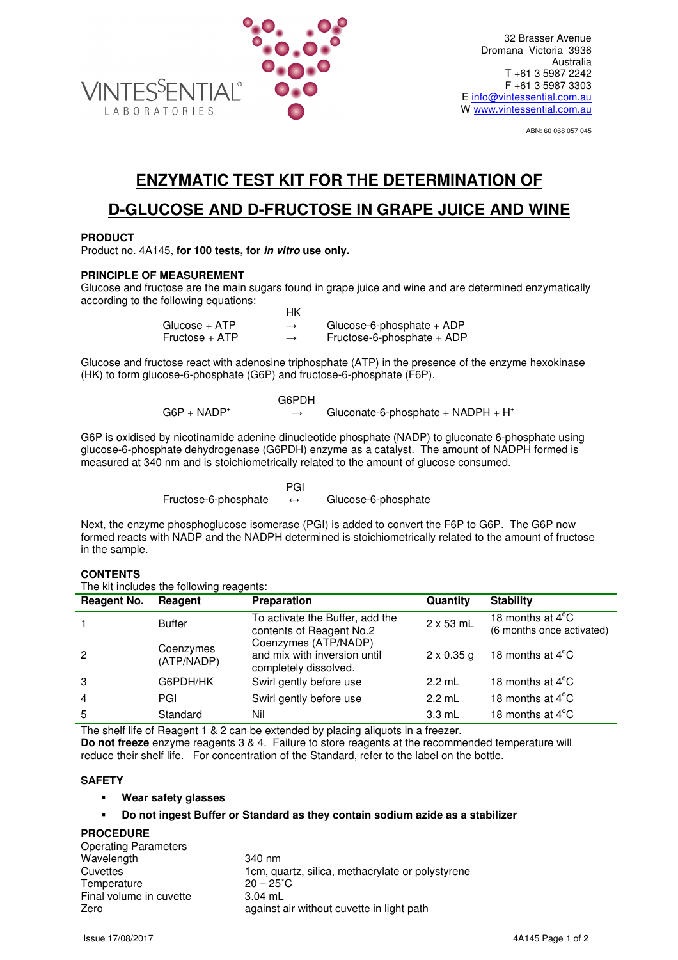

ABN: 60 068 057 045

# **ENZYMATIC TEST KIT FOR THE DETERMINATION OF**

# **D-GLUCOSE AND D-FRUCTOSE IN GRAPE JUICE AND WINE**

## **PRODUCT**

Product no. 4A145, **for 100 tests, for in vitro use only.**

# **PRINCIPLE OF MEASUREMENT**

Glucose and fructose are the main sugars found in grape juice and wine and are determined enzymatically according to the following equations:

|                | НK            |                              |
|----------------|---------------|------------------------------|
| Glucose + ATP  | $\rightarrow$ | Glucose-6-phosphate $+$ ADP  |
| Fructose + ATP | $\rightarrow$ | Fructose-6-phosphate $+$ ADP |

Glucose and fructose react with adenosine triphosphate (ATP) in the presence of the enzyme hexokinase (HK) to form glucose-6-phosphate (G6P) and fructose-6-phosphate (F6P).

|                | G6PDH |                                                |
|----------------|-------|------------------------------------------------|
| $G6P + NADP^+$ |       | Gluconate-6-phosphate + NADPH + H <sup>+</sup> |

G6P is oxidised by nicotinamide adenine dinucleotide phosphate (NADP) to gluconate 6-phosphate using glucose-6-phosphate dehydrogenase (G6PDH) enzyme as a catalyst. The amount of NADPH formed is measured at 340 nm and is stoichiometrically related to the amount of glucose consumed.

**PGI** PGI 2007 - PGI 2007 - PGI 2007 - PGI Fructose-6-phosphate ↔ Glucose-6-phosphate

Next, the enzyme phosphoglucose isomerase (PGI) is added to convert the F6P to G6P. The G6P now formed reacts with NADP and the NADPH determined is stoichiometrically related to the amount of fructose in the sample.

#### **CONTENTS**

The kit includes the following reagents:

| <b>Reagent No.</b> | Reagent                 | Preparation                                                                   | Quantity          | <b>Stability</b>                                        |
|--------------------|-------------------------|-------------------------------------------------------------------------------|-------------------|---------------------------------------------------------|
|                    | <b>Buffer</b>           | To activate the Buffer, add the<br>contents of Reagent No.2                   | $2 \times 53$ mL  | 18 months at $4^{\circ}$ C<br>(6 months once activated) |
| $\overline{2}$     | Coenzymes<br>(ATP/NADP) | Coenzymes (ATP/NADP)<br>and mix with inversion until<br>completely dissolved. | $2 \times 0.35$ g | 18 months at $4^{\circ}$ C                              |
| 3                  | G6PDH/HK                | Swirl gently before use                                                       | $2.2$ mL          | 18 months at $4^{\circ}$ C                              |
| $\overline{4}$     | PGI                     | Swirl gently before use                                                       | $2.2$ mL          | 18 months at $4^{\circ}$ C                              |
| 5                  | Standard                | Nil                                                                           | $3.3 \text{ mL}$  | 18 months at $4^{\circ}$ C                              |

The shelf life of Reagent 1 & 2 can be extended by placing aliquots in a freezer.

**Do not freeze** enzyme reagents 3 & 4. Failure to store reagents at the recommended temperature will reduce their shelf life. For concentration of the Standard, refer to the label on the bottle.

#### **SAFETY**

- **Wear safety glasses**
- **Do not ingest Buffer or Standard as they contain sodium azide as a stabilizer**

#### **PROCEDURE**

| 340 nm                                           |
|--------------------------------------------------|
| 1cm, quartz, silica, methacrylate or polystyrene |
| $20 - 25^{\circ}$ C                              |
| $3.04$ mL                                        |
| against air without cuvette in light path        |
|                                                  |